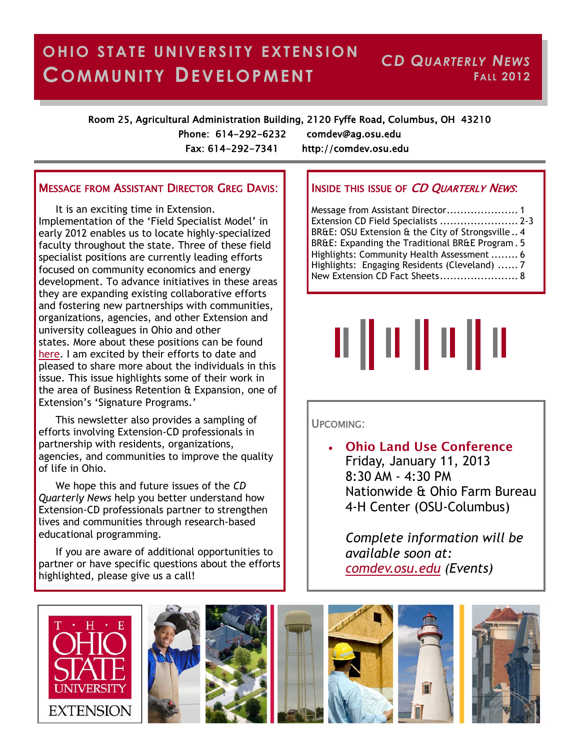#### **OHIO STATE UNIVERSITY EXTENSION COMMUNITY DEVELOPMENT** *CD QUARTERLY NEWS* **FALL 2012**

Room 25, Agricultural Administration Building, 2120 Fyffe Road, Columbus, OH 43210

Phone: 614-292-6232 comdev@ag.osu.edu Fax: 614-292-7341 http://comdev.osu.edu

## MESSAGE FROM ASSISTANT DIRECTOR GREG DAVIS:

It is an exciting time in Extension. Implementation of the 'Field Specialist Model' in early 2012 enables us to locate highly-specialized faculty throughout the state. Three of these field specialist positions are currently leading efforts focused on community economics and energy development. To advance initiatives in these areas they are expanding existing collaborative efforts and fostering new partnerships with communities, organizations, agencies, and other Extension and university colleagues in Ohio and other states. More about these positions can be found [here.](http://extensionhr.osu.edu/resources/ExtPosProgramFunctions.pdf) I am excited by their efforts to date and pleased to share more about the individuals in this issue. This issue highlights some of their work in the area of Business Retention & Expansion, one of Extension's 'Signature Programs.'

This newsletter also provides a sampling of efforts involving Extension-CD professionals in partnership with residents, organizations, agencies, and communities to improve the quality of life in Ohio.

We hope this and future issues of the *CD Quarterly News* help you better understand how Extension-CD professionals partner to strengthen lives and communities through research-based educational programming.

If you are aware of additional opportunities to partner or have specific questions about the efforts highlighted, please give us a call!

## **INSIDE THIS ISSUE OF CD QUARTERLY NEWS.**

Message from Assistant Director..................... 1 Extension CD Field Specialists ....................... 2-3 BR&E: OSU Extension & the City of Strongsville .. 4 BR&E: Expanding the Traditional BR&E Program . 5 Highlights: Community Health Assessment ........ 6 Highlights: Engaging Residents (Cleveland) ...... 7 New Extension CD Fact Sheets....................... 8

# || || || || || || ||

#### UPCOMING:

 **Ohio Land Use Conference** Friday, January 11, 2013 8:30 AM - 4:30 PM Nationwide & Ohio Farm Bureau 4-H Center (OSU-Columbus)

*Complete information will be available soon at: <comdev.osu.edu> (Events)*

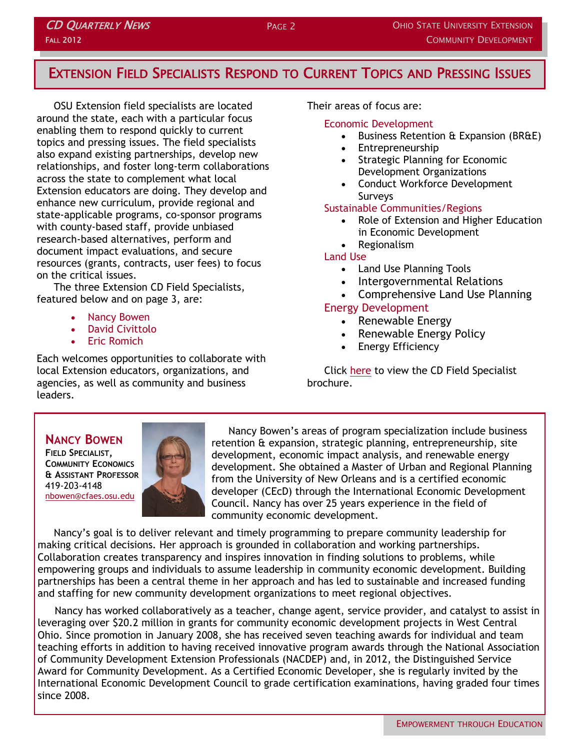## EXTENSION FIELD SPECIALISTS RESPOND TO CURRENT TOPICS AND PRESSING ISSUES

OSU Extension field specialists are located around the state, each with a particular focus enabling them to respond quickly to current topics and pressing issues. The field specialists also expand existing partnerships, develop new relationships, and foster long-term collaborations across the state to complement what local Extension educators are doing. They develop and enhance new curriculum, provide regional and state-applicable programs, co-sponsor programs with county-based staff, provide unbiased research-based alternatives, perform and document impact evaluations, and secure resources (grants, contracts, user fees) to focus on the critical issues.

The three Extension CD Field Specialists, featured below and on page 3, are:

• Nancy Bowen

**CD QUARTERLY NEWS** 

FALL 2012

- David Civittolo
- Eric Romich

Each welcomes opportunities to collaborate with local Extension educators, organizations, and agencies, as well as community and business leaders.

Their areas of focus are:

#### Economic Development

- **Business Retention & Expansion (BR&E)**
- Entrepreneurship
- Strategic Planning for Economic Development Organizations
- Conduct Workforce Development **Surveys**

#### Sustainable Communities/Regions

- Role of Extension and Higher Education in Economic Development
- Regionalism

#### Land Use

- Land Use Planning Tools
- Intergovernmental Relations
- Comprehensive Land Use Planning

## Energy Development

- Renewable Energy
- Renewable Energy Policy
- Energy Efficiency

Click [here](http://comdev.osu.edu/sites/drupal-comdev.web/files/Field%20Specialists%20-%20CD%20Brochure.pdf) to view the CD Field Specialist brochure.

## **NANCY BOWEN**

**FIELD SPECIALIST, COMMUNITY ECONOMICS & ASSISTANT PROFESSOR** 419-203-4148 [nbowen@cfaes.osu.edu](mailto:nbowen@cfaes.osu.edu)



Nancy Bowen's areas of program specialization include business retention & expansion, strategic planning, entrepreneurship, site development, economic impact analysis, and renewable energy development. She obtained a Master of Urban and Regional Planning from the University of New Orleans and is a certified economic developer (CEcD) through the International Economic Development Council. Nancy has over 25 years experience in the field of community economic development.

Nancy's goal is to deliver relevant and timely programming to prepare community leadership for making critical decisions. Her approach is grounded in collaboration and working partnerships. Collaboration creates transparency and inspires innovation in finding solutions to problems, while empowering groups and individuals to assume leadership in community economic development. Building partnerships has been a central theme in her approach and has led to sustainable and increased funding and staffing for new community development organizations to meet regional objectives.

Nancy has worked collaboratively as a teacher, change agent, service provider, and catalyst to assist in leveraging over \$20.2 million in grants for community economic development projects in West Central Ohio. Since promotion in January 2008, she has received seven teaching awards for individual and team teaching efforts in addition to having received innovative program awards through the National Association of Community Development Extension Professionals (NACDEP) and, in 2012, the Distinguished Service Award for Community Development. As a Certified Economic Developer, she is regularly invited by the International Economic Development Council to grade certification examinations, having graded four times since 2008.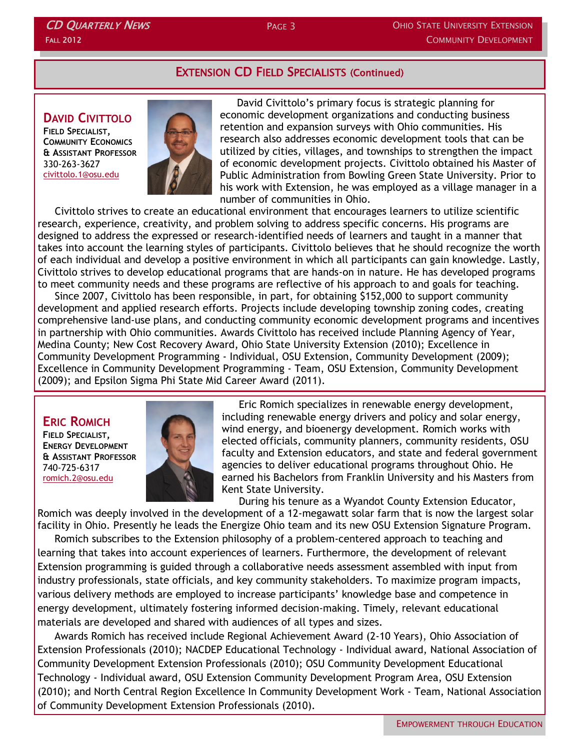## EXTENSION CD FIELD SPECIALISTS (Continued)

## **DAVID CIVITTOLO**

CD QUARTERLY NEWS

FALL 2012

**FIELD SPECIALIST, COMMUNITY ECONOMICS & ASSISTANT PROFESSOR** 330-263-3627 [civittolo.1@osu.edu](mailto:civittolo.1@osu.edu)



David Civittolo's primary focus is strategic planning for economic development organizations and conducting business retention and expansion surveys with Ohio communities. His research also addresses economic development tools that can be utilized by cities, villages, and townships to strengthen the impact of economic development projects. Civittolo obtained his Master of Public Administration from Bowling Green State University. Prior to his work with Extension, he was employed as a village manager in a number of communities in Ohio.

Civittolo strives to create an educational environment that encourages learners to utilize scientific research, experience, creativity, and problem solving to address specific concerns. His programs are designed to address the expressed or research-identified needs of learners and taught in a manner that takes into account the learning styles of participants. Civittolo believes that he should recognize the worth of each individual and develop a positive environment in which all participants can gain knowledge. Lastly, Civittolo strives to develop educational programs that are hands-on in nature. He has developed programs to meet community needs and these programs are reflective of his approach to and goals for teaching.

Since 2007, Civittolo has been responsible, in part, for obtaining \$152,000 to support community development and applied research efforts. Projects include developing township zoning codes, creating comprehensive land-use plans, and conducting community economic development programs and incentives in partnership with Ohio communities. Awards Civittolo has received include Planning Agency of Year, Medina County; New Cost Recovery Award, Ohio State University Extension (2010); Excellence in Community Development Programming - Individual, OSU Extension, Community Development (2009); Excellence in Community Development Programming - Team, OSU Extension, Community Development (2009); and Epsilon Sigma Phi State Mid Career Award (2011).

## **ERIC ROMICH**

**FIELD SPECIALIST, ENERGY DEVELOPMENT & ASSISTANT PROFESSOR** 740-725-6317 [romich.2@osu.edu](mailto:romich.2@osu.edu)



Eric Romich specializes in renewable energy development, including renewable energy drivers and policy and solar energy, wind energy, and bioenergy development. Romich works with elected officials, community planners, community residents, OSU faculty and Extension educators, and state and federal government agencies to deliver educational programs throughout Ohio. He earned his Bachelors from Franklin University and his Masters from Kent State University.

During his tenure as a Wyandot County Extension Educator, Romich was deeply involved in the development of a 12-megawatt solar farm that is now the largest solar facility in Ohio. Presently he leads the Energize Ohio team and its new OSU Extension Signature Program.

Romich subscribes to the Extension philosophy of a problem-centered approach to teaching and learning that takes into account experiences of learners. Furthermore, the development of relevant Extension programming is guided through a collaborative needs assessment assembled with input from industry professionals, state officials, and key community stakeholders. To maximize program impacts, various delivery methods are employed to increase participants' knowledge base and competence in energy development, ultimately fostering informed decision-making. Timely, relevant educational materials are developed and shared with audiences of all types and sizes.

Awards Romich has received include Regional Achievement Award (2-10 Years), Ohio Association of Extension Professionals (2010); NACDEP Educational Technology - Individual award, National Association of Community Development Extension Professionals (2010); OSU Community Development Educational Technology - Individual award, OSU Extension Community Development Program Area, OSU Extension (2010); and North Central Region Excellence In Community Development Work - Team, National Association of Community Development Extension Professionals (2010).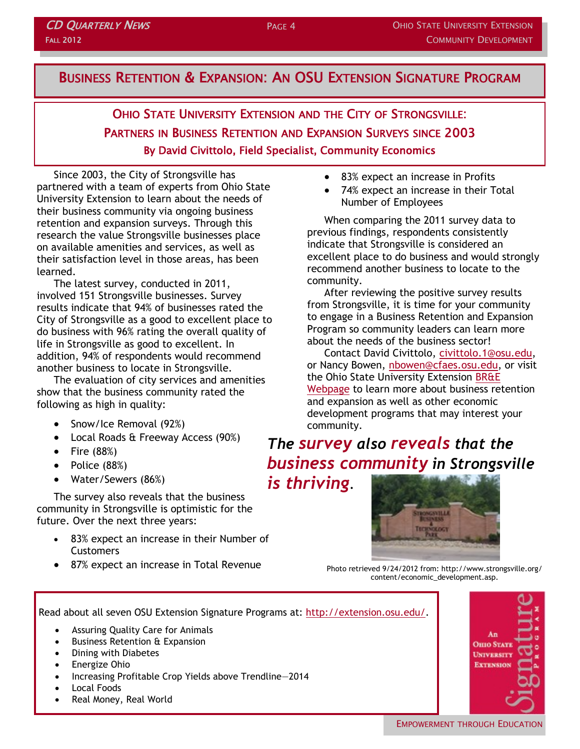## BUSINESS RETENTION & EXPANSION: AN OSU EXTENSION SIGNATURE PROGRAM

## OHIO STATE UNIVERSITY EXTENSION AND THE CITY OF STRONGSVILLE: PARTNERS IN BUSINESS RETENTION AND EXPANSION SURVEYS SINCE 2003 By David Civittolo, Field Specialist, Community Economics

Since 2003, the City of Strongsville has partnered with a team of experts from Ohio State University Extension to learn about the needs of their business community via ongoing business retention and expansion surveys. Through this research the value Strongsville businesses place on available amenities and services, as well as their satisfaction level in those areas, has been learned.

The latest survey, conducted in 2011, involved 151 Strongsville businesses. Survey results indicate that 94% of businesses rated the City of Strongsville as a good to excellent place to do business with 96% rating the overall quality of life in Strongsville as good to excellent. In addition, 94% of respondents would recommend another business to locate in Strongsville.

The evaluation of city services and amenities show that the business community rated the following as high in quality:

- Snow/Ice Removal (92%)
- Local Roads & Freeway Access (90%)
- $\bullet$  Fire (88%)
- Police (88%)
- Water/Sewers (86%)

The survey also reveals that the business community in Strongsville is optimistic for the future. Over the next three years:

- 83% expect an increase in their Number of **Customers**
- 87% expect an increase in Total Revenue
- 83% expect an increase in Profits
- 74% expect an increase in their Total Number of Employees

When comparing the 2011 survey data to previous findings, respondents consistently indicate that Strongsville is considered an excellent place to do business and would strongly recommend another business to locate to the community.

After reviewing the positive survey results from Strongsville, it is time for your community to engage in a Business Retention and Expansion Program so community leaders can learn more about the needs of the business sector!

Contact David Civittolo, [civittolo.1@osu.edu,](mailto:civittolo.1@osu.edu)  or Nancy Bowen, [nbowen@cfaes.osu.edu,](mailto:nbowen@cfaes.osu.edu) or visit the Ohio State University Extension [BR&E](http://go.osu.edu/BRnE)  [Webpage](http://go.osu.edu/BRnE) to learn more about business retention and expansion as well as other economic development programs that may interest your community.

# *The survey also reveals that the business community in Strongsville*

*is thriving.* 



Photo retrieved 9/24/2012 from: http://www.strongsville.org/ content/economic\_development.asp.

Read about all seven OSU Extension Signature Programs at: [http://extension.osu.edu/.](http://extension.osu.edu/)

- Assuring Quality Care for Animals
- Business Retention & Expansion
- Dining with Diabetes
- Energize Ohio
- Increasing Profitable Crop Yields above Trendline—2014
- Local Foods
- Real Money, Real World

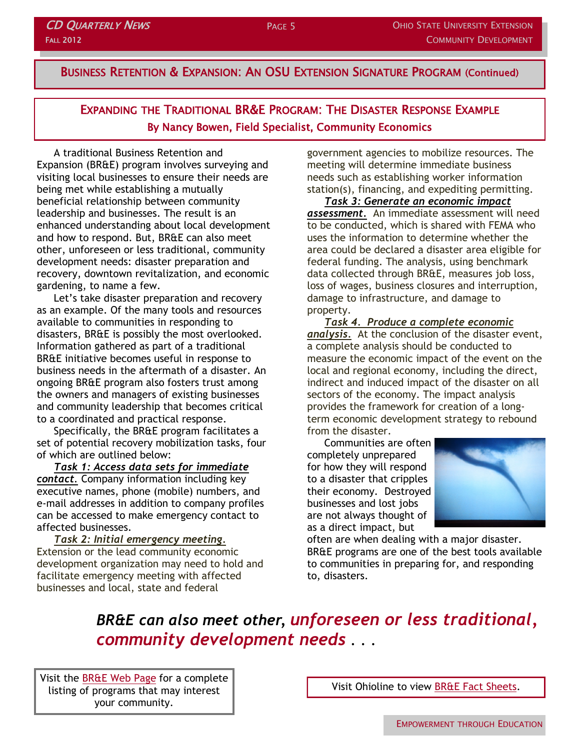EXPANDING THE TRADITIONAL BR&E PROGRAM: THE DISASTER RESPONSE EXAMPLE By Nancy Bowen, Field Specialist, Community Economics

A traditional Business Retention and Expansion (BR&E) program involves surveying and visiting local businesses to ensure their needs are being met while establishing a mutually beneficial relationship between community leadership and businesses. The result is an enhanced understanding about local development and how to respond. But, BR&E can also meet other, unforeseen or less traditional, community development needs: disaster preparation and recovery, downtown revitalization, and economic gardening, to name a few.

Let's take disaster preparation and recovery as an example. Of the many tools and resources available to communities in responding to disasters, BR&E is possibly the most overlooked. Information gathered as part of a traditional BR&E initiative becomes useful in response to business needs in the aftermath of a disaster. An ongoing BR&E program also fosters trust among the owners and managers of existing businesses and community leadership that becomes critical to a coordinated and practical response.

Specifically, the BR&E program facilitates a set of potential recovery mobilization tasks, four of which are outlined below:

*Task 1: Access data sets for immediate contact.* Company information including key executive names, phone (mobile) numbers, and e-mail addresses in addition to company profiles can be accessed to make emergency contact to affected businesses.

*Task 2: Initial emergency meeting.* Extension or the lead community economic development organization may need to hold and facilitate emergency meeting with affected businesses and local, state and federal

government agencies to mobilize resources. The meeting will determine immediate business needs such as establishing worker information station(s), financing, and expediting permitting.

*Task 3: Generate an economic impact assessment.* An immediate assessment will need to be conducted, which is shared with FEMA who uses the information to determine whether the area could be declared a disaster area eligible for federal funding. The analysis, using benchmark data collected through BR&E, measures job loss, loss of wages, business closures and interruption, damage to infrastructure, and damage to property.

*Task 4. Produce a complete economic analysis.* At the conclusion of the disaster event, a complete analysis should be conducted to measure the economic impact of the event on the local and regional economy, including the direct, indirect and induced impact of the disaster on all sectors of the economy. The impact analysis provides the framework for creation of a longterm economic development strategy to rebound from the disaster.

Communities are often completely unprepared for how they will respond to a disaster that cripples their economy. Destroyed businesses and lost jobs are not always thought of as a direct impact, but



often are when dealing with a major disaster. BR&E programs are one of the best tools available to communities in preparing for, and responding to, disasters.

*BR&E can also meet other, unforeseen or less traditional, community development needs . . .*

Visit the [BR&E Web Page](http://go.osu.edu/BRnE) for a complete listing of programs that may interest your community.

Visit Ohioline to view [BR&E Fact Sheets.](http://ohioline.osu.edu/lines/comun.html#busi)

EMPOWERMENT THROUGH EDUCATION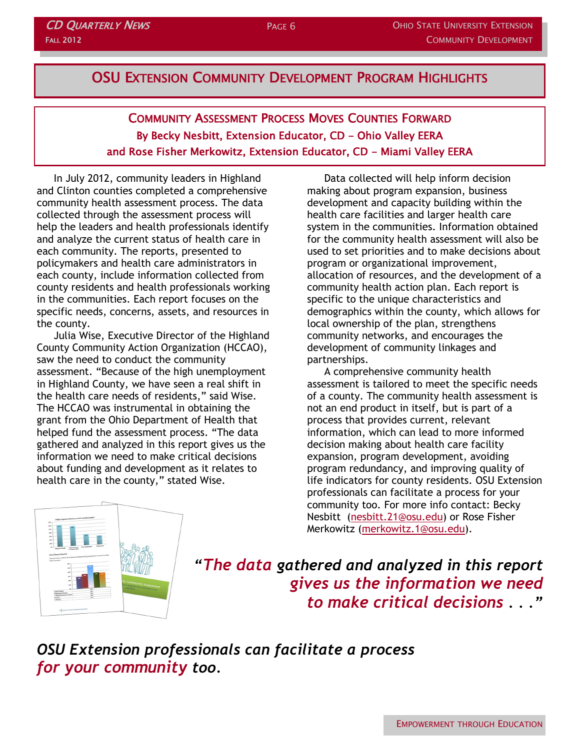## OSU EXTENSION COMMUNITY DEVELOPMENT PROGRAM HIGHLIGHTS

COMMUNITY ASSESSMENT PROCESS MOVES COUNTIES FORWARD By Becky Nesbitt, Extension Educator, CD - Ohio Valley EERA and Rose Fisher Merkowitz, Extension Educator, CD - Miami Valley EERA

In July 2012, community leaders in Highland and Clinton counties completed a comprehensive community health assessment process. The data collected through the assessment process will help the leaders and health professionals identify and analyze the current status of health care in each community. The reports, presented to policymakers and health care administrators in each county, include information collected from county residents and health professionals working in the communities. Each report focuses on the specific needs, concerns, assets, and resources in the county.

Julia Wise, Executive Director of the Highland County Community Action Organization (HCCAO), saw the need to conduct the community assessment. "Because of the high unemployment in Highland County, we have seen a real shift in the health care needs of residents," said Wise. The HCCAO was instrumental in obtaining the grant from the Ohio Department of Health that helped fund the assessment process. "The data gathered and analyzed in this report gives us the information we need to make critical decisions about funding and development as it relates to health care in the county," stated Wise.

Data collected will help inform decision making about program expansion, business development and capacity building within the health care facilities and larger health care system in the communities. Information obtained for the community health assessment will also be used to set priorities and to make decisions about program or organizational improvement, allocation of resources, and the development of a community health action plan. Each report is specific to the unique characteristics and demographics within the county, which allows for local ownership of the plan, strengthens community networks, and encourages the development of community linkages and partnerships.

A comprehensive community health assessment is tailored to meet the specific needs of a county. The community health assessment is not an end product in itself, but is part of a process that provides current, relevant information, which can lead to more informed decision making about health care facility expansion, program development, avoiding program redundancy, and improving quality of life indicators for county residents. OSU Extension professionals can facilitate a process for your community too. For more info contact: Becky Nesbitt ([nesbitt.21@osu.edu\)](mailto:nesbitt.21@osu.edu) or Rose Fisher Merkowitz [\(merkowitz.1@osu.edu\).](mailto:merkowitz.1@osu.edu)



*"The data gathered and analyzed in this report gives us the information we need to make critical decisions . . ."*

*OSU Extension professionals can facilitate a process for your community too.*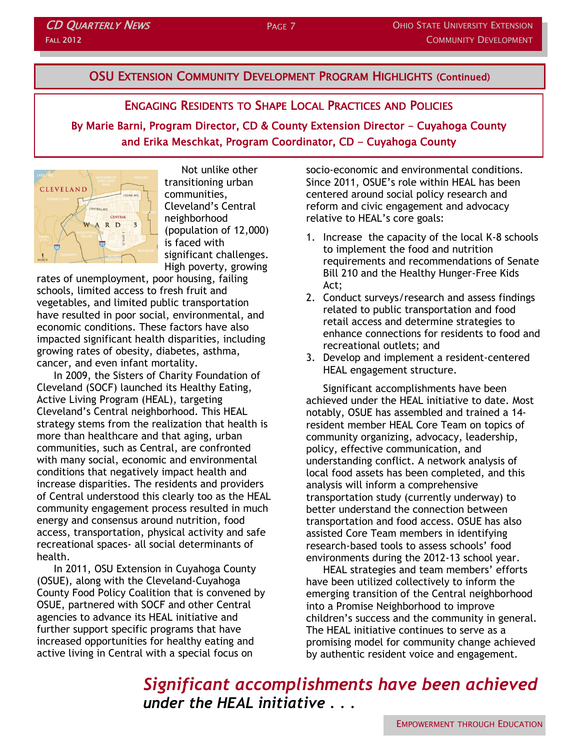## **CD QUARTERLY NEWS** FALL 2012

## OSU EXTENSION COMMUNITY DEVELOPMENT PROGRAM HIGHLIGHTS (Continued)

## ENGAGING RESIDENTS TO SHAPE LOCAL PRACTICES AND POLICIES

By Marie Barni, Program Director, CD & County Extension Director - Cuyahoga County and Erika Meschkat, Program Coordinator, CD - Cuyahoga County



Not unlike other transitioning urban communities, Cleveland's Central neighborhood (population of 12,000) is faced with significant challenges. High poverty, growing

rates of unemployment, poor housing, failing schools, limited access to fresh fruit and vegetables, and limited public transportation have resulted in poor social, environmental, and economic conditions. These factors have also impacted significant health disparities, including growing rates of obesity, diabetes, asthma, cancer, and even infant mortality.

In 2009, the Sisters of Charity Foundation of Cleveland (SOCF) launched its Healthy Eating, Active Living Program (HEAL), targeting Cleveland's Central neighborhood. This HEAL strategy stems from the realization that health is more than healthcare and that aging, urban communities, such as Central, are confronted with many social, economic and environmental conditions that negatively impact health and increase disparities. The residents and providers of Central understood this clearly too as the HEAL community engagement process resulted in much energy and consensus around nutrition, food access, transportation, physical activity and safe recreational spaces- all social determinants of health.

In 2011, OSU Extension in Cuyahoga County (OSUE), along with the Cleveland-Cuyahoga County Food Policy Coalition that is convened by OSUE, partnered with SOCF and other Central agencies to advance its HEAL initiative and further support specific programs that have increased opportunities for healthy eating and active living in Central with a special focus on

socio-economic and environmental conditions. Since 2011, OSUE's role within HEAL has been centered around social policy research and reform and civic engagement and advocacy relative to HEAL's core goals:

- 1. Increase the capacity of the local K-8 schools to implement the food and nutrition requirements and recommendations of Senate Bill 210 and the Healthy Hunger-Free Kids Act;
- 2. Conduct surveys/research and assess findings related to public transportation and food retail access and determine strategies to enhance connections for residents to food and recreational outlets; and
- 3. Develop and implement a resident-centered HEAL engagement structure.

Significant accomplishments have been achieved under the HEAL initiative to date. Most notably, OSUE has assembled and trained a 14 resident member HEAL Core Team on topics of community organizing, advocacy, leadership, policy, effective communication, and understanding conflict. A network analysis of local food assets has been completed, and this analysis will inform a comprehensive transportation study (currently underway) to better understand the connection between transportation and food access. OSUE has also assisted Core Team members in identifying research-based tools to assess schools' food environments during the 2012-13 school year.

HEAL strategies and team members' efforts have been utilized collectively to inform the emerging transition of the Central neighborhood into a Promise Neighborhood to improve children's success and the community in general. The HEAL initiative continues to serve as a promising model for community change achieved by authentic resident voice and engagement.

*Significant accomplishments have been achieved under the HEAL initiative . . .*